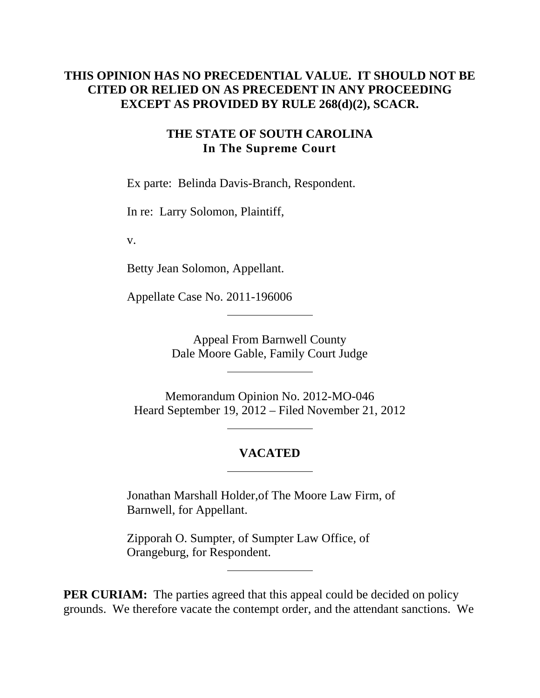### **THIS OPINION HAS NO PRECEDENTIAL VALUE. IT SHOULD NOT BE CITED OR RELIED ON AS PRECEDENT IN ANY PROCEEDING EXCEPT AS PROVIDED BY RULE 268(d)(2), SCACR.**

#### **THE STATE OF SOUTH CAROLINA In The Supreme Court**

Ex parte: Belinda Davis-Branch, Respondent.

In re: Larry Solomon, Plaintiff,

v.

Betty Jean Solomon, Appellant.

Appellate Case No. 2011-196006

Appeal From Barnwell County Dale Moore Gable, Family Court Judge

Memorandum Opinion No. 2012-MO-046 Heard September 19, 2012 – Filed November 21, 2012

## **VACATED**

Jonathan Marshall Holder,of The Moore Law Firm, of Barnwell, for Appellant.

Zipporah O. Sumpter, of Sumpter Law Office, of Orangeburg, for Respondent.

**PER CURIAM:** The parties agreed that this appeal could be decided on policy grounds. We therefore vacate the contempt order, and the attendant sanctions. We